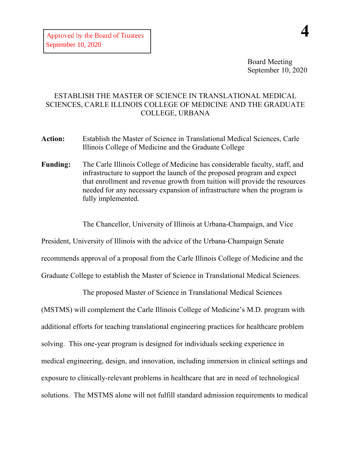Board Meeting September 10, 2020

## ESTABLISH THE MASTER OF SCIENCE IN TRANSLATIONAL MEDICAL SCIENCES, CARLE ILLINOIS COLLEGE OF MEDICINE AND THE GRADUATE COLLEGE, URBANA

- **Action:** Establish the Master of Science in Translational Medical Sciences, Carle Illinois College of Medicine and the Graduate College
- **Funding:** The Carle Illinois College of Medicine has considerable faculty, staff, and infrastructure to support the launch of the proposed program and expect that enrollment and revenue growth from tuition will provide the resources needed for any necessary expansion of infrastructure when the program is fully implemented.

The Chancellor, University of Illinois at Urbana-Champaign, and Vice

President, University of Illinois with the advice of the Urbana-Champaign Senate recommends approval of a proposal from the Carle Illinois College of Medicine and the Graduate College to establish the Master of Science in Translational Medical Sciences.

The proposed Master of Science in Translational Medical Sciences

(MSTMS) will complement the Carle Illinois College of Medicine's M.D. program with additional efforts for teaching translational engineering practices for healthcare problem solving. This one-year program is designed for individuals seeking experience in medical engineering, design, and innovation, including immersion in clinical settings and exposure to clinically-relevant problems in healthcare that are in need of technological solutions. The MSTMS alone will not fulfill standard admission requirements to medical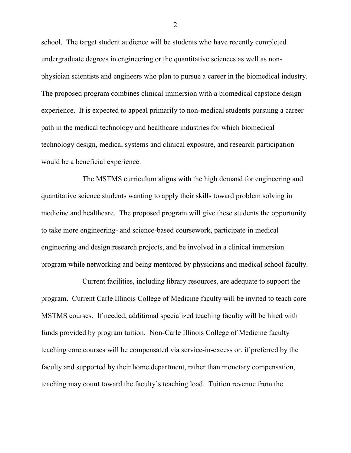school. The target student audience will be students who have recently completed undergraduate degrees in engineering or the quantitative sciences as well as nonphysician scientists and engineers who plan to pursue a career in the biomedical industry. The proposed program combines clinical immersion with a biomedical capstone design experience. It is expected to appeal primarily to non-medical students pursuing a career path in the medical technology and healthcare industries for which biomedical technology design, medical systems and clinical exposure, and research participation would be a beneficial experience.

The MSTMS curriculum aligns with the high demand for engineering and quantitative science students wanting to apply their skills toward problem solving in medicine and healthcare. The proposed program will give these students the opportunity to take more engineering- and science-based coursework, participate in medical engineering and design research projects, and be involved in a clinical immersion program while networking and being mentored by physicians and medical school faculty.

Current facilities, including library resources, are adequate to support the program. Current Carle Illinois College of Medicine faculty will be invited to teach core MSTMS courses. If needed, additional specialized teaching faculty will be hired with funds provided by program tuition. Non-Carle Illinois College of Medicine faculty teaching core courses will be compensated via service-in-excess or, if preferred by the faculty and supported by their home department, rather than monetary compensation, teaching may count toward the faculty's teaching load. Tuition revenue from the

2